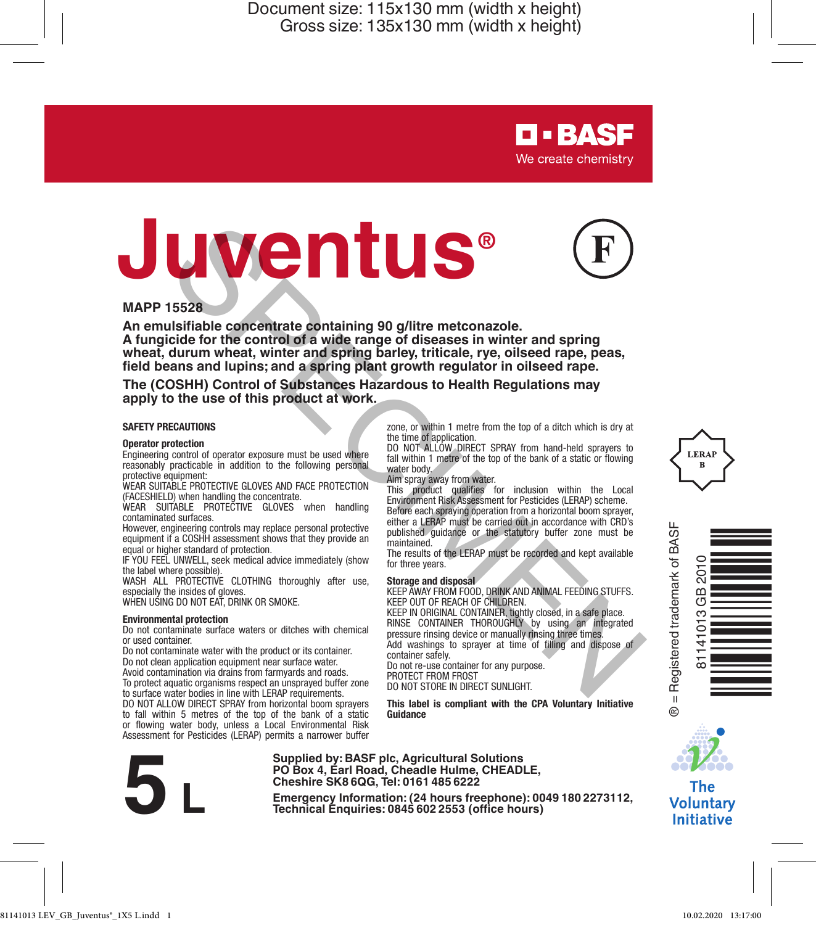# **Juventus®**



**D-BASF** We create chemistry

zone, or within 1 metre from the top of a ditch which is dry at

DO NOT ALLOW DIRECT SPRAY from hand-held sprayers to fall within 1 metre of the top of the bank of a static or flowing

This product qualifies for inclusion within the Local Environment Risk Assessment for Pesticides (LERAP) scheme. Before each spraying operation from a horizontal boom sprayer, either a LERAP must be carried out in accordance with CRD's published guidance or the statutory buffer zone must be

The results of the LERAP must be recorded and kept available

**Storage and disposal** KEEP AWAY FROM FOOD, DRINK AND ANIMAL FEEDING STUFFS.

KEEP IN ORIGINAL CONTAINER, tightly closed, in a safe place. RINSE CONTAINER THOROUGHLY by using an integrated pressure rinsing device or manually rinsing three times. Add washings to sprayer at time of filling and dispose of

**This label is compliant with the CPA Voluntary Initiative Guidance**

#### **MAPP 15528**

**An emulsifiable concentrate containing 90 g/litre metconazole. A fungicide for the control of a wide range of diseases in winter and spring wheat, durum wheat, winter and spring barley, triticale, rye, oilseed rape, peas, field beans and lupins; and a spring plant growth regulator in oilseed rape. Excess the control of the space of the space of the space of the space of the space of the control of a wide range of diseases in winter and spring<br>cide for the control of a wide range of diseases in winter and spring<br>ans** 

the time of application.

water body. Aim spray away from water.

maintained.

for three years.

container safely.

**The (COSHH) Control of Substances Hazardous to Health Regulations may apply to the use of this product at work.**

#### **SAFETY PRECAUTIONS**

#### **Operator protection**

Engineering control of operator exposure must be used where reasonably practicable in addition to the following personal protective equipment:

WEAR SUITABLE PROTECTIVE GLOVES AND FACE PROTECTION (FACESHIELD) when handling the concentrate.

WEAR SUITABLE PROTECTIVE GLOVES when handling contaminated surfaces.

However, engineering controls may replace personal protective equipment if a COSHH assessment shows that they provide an equal or higher standard of protection.

IF YOU FEEL UNWELL, seek medical advice immediately (show the label where possible).

WASH ALL PROTECTIVE CLOTHING thoroughly after use, especially the insides of gloves.

WHEN USING DO NOT EAT, DRINK OR SMOKE.

#### **Environmental protection**

Do not contaminate surface waters or ditches with chemical or used container.

Do not contaminate water with the product or its container. Do not clean application equipment near surface water. Avoid contamination via drains from farmyards and roads.

To protect aquatic organisms respect an unsprayed buffer zone to surface water bodies in line with LERAP requirements.

DO NOT ALLOW DIRECT SPRAY from horizontal boom sprayers to fall within 5 metres of the top of the bank of a static or flowing water body, unless a Local Environmental Risk Assessment for Pesticides (LERAP) permits a narrower buffer



**Supplied by: BASF plc, Agricultural Solutions PO Box 4, Earl Road, Cheadle Hulme, CHEADLE, Cheshire SK8 6QG, Tel: 0161 485 6222**

**Examples by Emergency Information: (244 Barl Road, Cheadle Hulme, CHEADLE,**<br>Cheshire SK8 6QG, Tel: 0161 485 6222<br>Emergency Information: (24 hours)<br>Technical Enquiries: 0845 602 2553 (office hours)

KEEP OUT OF REACH OF CHILDREN.

Do not re-use container for any purpose. PROTECT FROM FROST DO NOT STORE IN DIRECT SUNLIGHT.







The **Voluntary Initiative**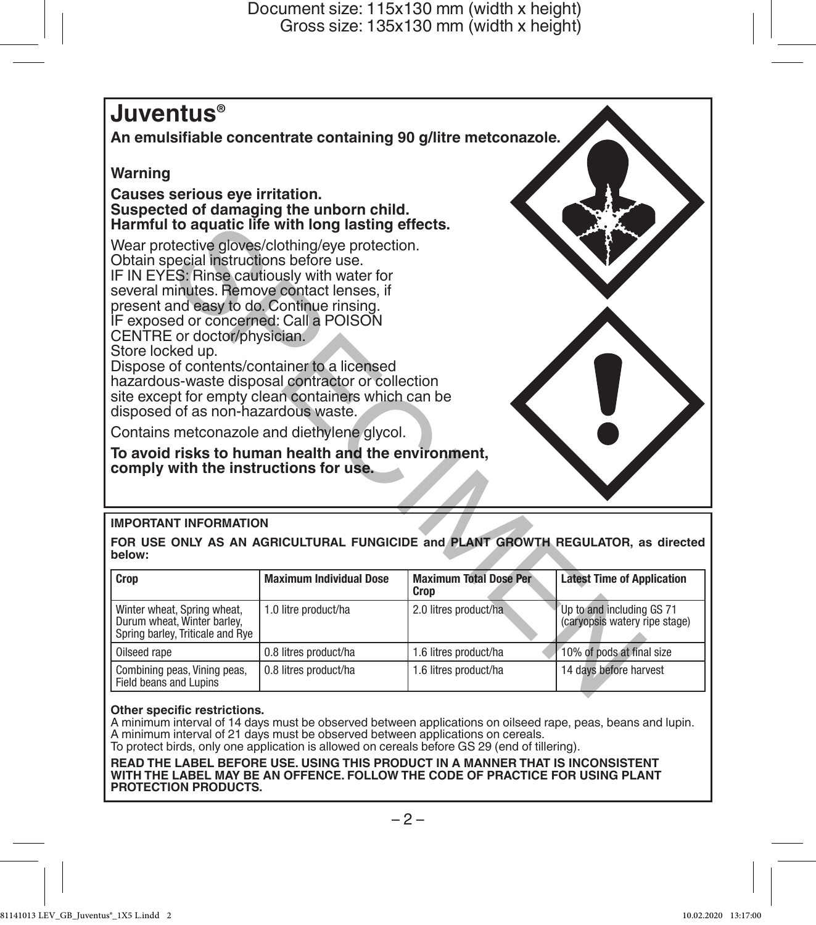## **Juventus®**

**An emulsifiable concentrate containing 90 g/litre metconazole.**

#### **Warning**

**Causes serious eye irritation. Suspected of damaging the unborn child. Harmful to aquatic life with long lasting effects.**



#### **IMPORTANT INFORMATION**

| Harmful to aquatic life with long lasting effects.<br>Wear protective gloves/clothing/eye protection.<br>Obtain special instructions before use.<br>IF IN EYES: Rinse cautiously with water for<br>several minutes. Remove contact lenses, if<br>present and easy to do. Continue rinsing.<br>IF exposed or concerned: Call a POISON<br>CENTRE or doctor/physician.<br>Store locked up.<br>Dispose of contents/container to a licensed<br>hazardous-waste disposal contractor or collection<br>site except for empty clean containers which can be<br>disposed of as non-hazardous waste.<br>Contains metconazole and diethylene glycol.<br>To avoid risks to human health and the environment,<br>comply with the instructions for use. |                                |                                       |                                                                                   |  |
|------------------------------------------------------------------------------------------------------------------------------------------------------------------------------------------------------------------------------------------------------------------------------------------------------------------------------------------------------------------------------------------------------------------------------------------------------------------------------------------------------------------------------------------------------------------------------------------------------------------------------------------------------------------------------------------------------------------------------------------|--------------------------------|---------------------------------------|-----------------------------------------------------------------------------------|--|
| <b>IMPORTANT INFORMATION</b>                                                                                                                                                                                                                                                                                                                                                                                                                                                                                                                                                                                                                                                                                                             |                                |                                       |                                                                                   |  |
| below:                                                                                                                                                                                                                                                                                                                                                                                                                                                                                                                                                                                                                                                                                                                                   |                                |                                       | FOR USE ONLY AS AN AGRICULTURAL FUNGICIDE and PLANT GROWTH REGULATOR, as directed |  |
| Crop                                                                                                                                                                                                                                                                                                                                                                                                                                                                                                                                                                                                                                                                                                                                     | <b>Maximum Individual Dose</b> | <b>Maximum Total Dose Per</b><br>Crop | <b>Latest Time of Application</b>                                                 |  |
| Winter wheat, Spring wheat,<br>Durum wheat. Winter barley.<br>Spring barley, Triticale and Rye                                                                                                                                                                                                                                                                                                                                                                                                                                                                                                                                                                                                                                           | 1.0 litre product/ha           | 2.0 litres product/ha                 | Up to and including GS 71<br>(caryopsis watery ripe stage)                        |  |
| Oilseed rape                                                                                                                                                                                                                                                                                                                                                                                                                                                                                                                                                                                                                                                                                                                             | 0.8 litres product/ha          | 1.6 litres product/ha                 | 10% of pods at final size                                                         |  |
| Combining peas, Vining peas,<br>Field beans and Lupins                                                                                                                                                                                                                                                                                                                                                                                                                                                                                                                                                                                                                                                                                   | 0.8 litres product/ha          | 1.6 litres product/ha                 | 14 days before harvest                                                            |  |

#### **Other specific restrictions.**

A minimum interval of 14 days must be observed between applications on oilseed rape, peas, beans and lupin. A minimum interval of 21 days must be observed between applications on cereals. To protect birds, only one application is allowed on cereals before GS 29 (end of tillering).

**READ THE LABEL BEFORE USE. USING THIS PRODUCT IN A MANNER THAT IS INCONSISTENT WITH THE LABEL MAY BE AN OFFENCE. FOLLOW THE CODE OF PRACTICE FOR USING PLANT PROTECTION PRODUCTS.**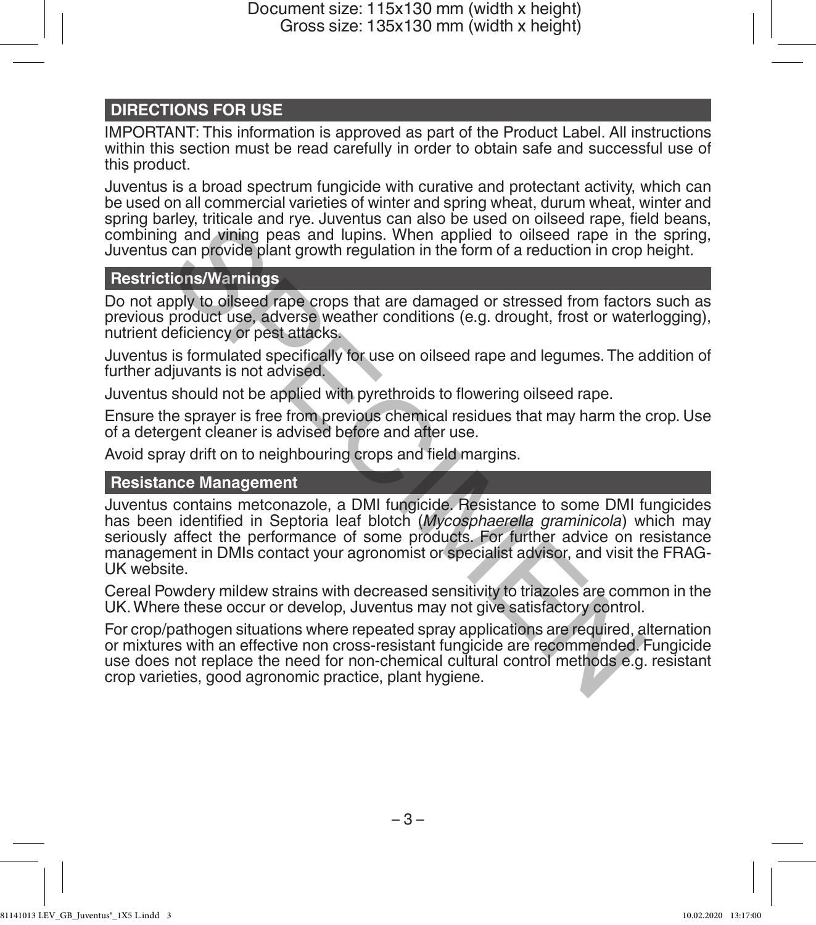## **DIRECTIONS FOR USE**

IMPORTANT: This information is approved as part of the Product Label. All instructions within this section must be read carefully in order to obtain safe and successful use of this product.

Juventus is a broad spectrum fungicide with curative and protectant activity, which can be used on all commercial varieties of winter and spring wheat, durum wheat, winter and spring barley, triticale and rye. Juventus can also be used on oilseed rape, field beans, combining and vining peas and lupins. When applied to oilseed rape in the spring, Juventus can provide plant growth regulation in the form of a reduction in crop height.

#### **Restrictions/Warnings**

Do not apply to oilseed rape crops that are damaged or stressed from factors such as previous product use, adverse weather conditions (e.g. drought, frost or waterlogging), nutrient deficiency or pest attacks.

Juventus is formulated specifically for use on oilseed rape and legumes. The addition of further adjuvants is not advised.

Juventus should not be applied with pyrethroids to flowering oilseed rape.

Ensure the sprayer is free from previous chemical residues that may harm the crop. Use of a detergent cleaner is advised before and after use.

Avoid spray drift on to neighbouring crops and field margins.

#### **Resistance Management**

Juventus contains metconazole, a DMI fungicide. Resistance to some DMI fungicides has been identified in Septoria leaf blotch (*Mycosphaerella graminicola*) which may seriously affect the performance of some products. For further advice on resistance management in DMIs contact your agronomist or specialist advisor, and visit the FRAG-UK website. if will be a final term of the solution of the solution of the solution peak and vining peas and lupins. When applied to oilseed rape in the can provide plant growth regulation in the form of a reduction in crop<br>provide pl

Cereal Powdery mildew strains with decreased sensitivity to triazoles are common in the UK. Where these occur or develop, Juventus may not give satisfactory control.

For crop/pathogen situations where repeated spray applications are required, alternation or mixtures with an effective non cross-resistant fungicide are recommended. Fungicide use does not replace the need for non-chemical cultural control methods e.g. resistant crop varieties, good agronomic practice, plant hygiene.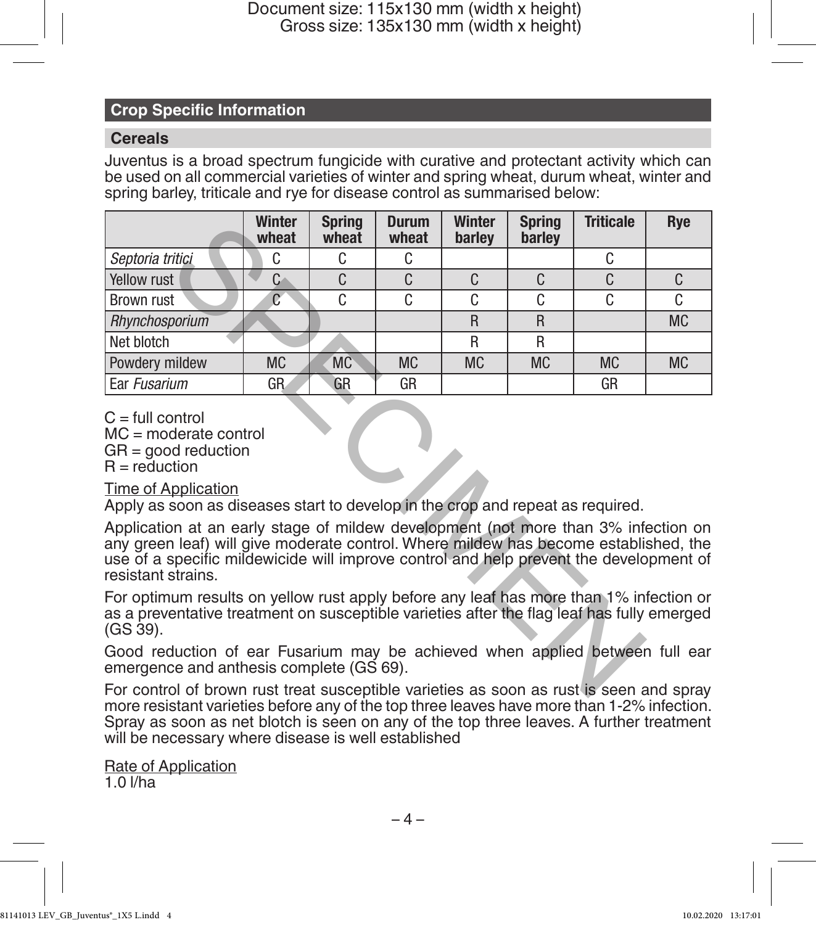### **Crop Specific Information**

#### **Cereals**

Juventus is a broad spectrum fungicide with curative and protectant activity which can be used on all commercial varieties of winter and spring wheat, durum wheat, winter and spring barley, triticale and rye for disease control as summarised below:

|                                                                                                                                                                                                                                                                                            | <b>Winter</b><br>wheat | <b>Spring</b><br>wheat | <b>Durum</b><br>wheat | <b>Winter</b><br>barley | <b>Spring</b><br>barley | <b>Triticale</b> | Rye       |
|--------------------------------------------------------------------------------------------------------------------------------------------------------------------------------------------------------------------------------------------------------------------------------------------|------------------------|------------------------|-----------------------|-------------------------|-------------------------|------------------|-----------|
| Septoria tritici                                                                                                                                                                                                                                                                           | C.                     | C.                     | C.                    |                         |                         | C                |           |
| Yellow rust                                                                                                                                                                                                                                                                                | C.                     | $\mathsf{C}$           | C                     | C.                      | C                       | C                | C.        |
| Brown rust                                                                                                                                                                                                                                                                                 | C                      | C                      | C                     | C                       | C                       | C                | C         |
| Rhynchosporium                                                                                                                                                                                                                                                                             |                        |                        |                       | $\mathsf{R}$            | R                       |                  | <b>MC</b> |
| Net blotch                                                                                                                                                                                                                                                                                 |                        |                        |                       | R                       | R                       |                  |           |
| Powdery mildew                                                                                                                                                                                                                                                                             | <b>MC</b>              | <b>MC</b>              | <b>MC</b>             | <b>MC</b>               | <b>MC</b>               | <b>MC</b>        | <b>MC</b> |
| Ear Fusarium                                                                                                                                                                                                                                                                               | GR                     | GR                     | GR                    |                         |                         | GR               |           |
| $MC = moderate control$<br>$GR =$ good reduction<br>$R = reduction$<br>Time of Application<br>Apply as soon as diseases start to develop in the crop and repeat as required.                                                                                                               |                        |                        |                       |                         |                         |                  |           |
| Application at an early stage of mildew development (not more than 3% infection on<br>any green leaf) will give moderate control. Where mildew has become established, the<br>use of a specific mildewicide will improve control and help prevent the development of<br>resistant strains. |                        |                        |                       |                         |                         |                  |           |
| For optimum results on yellow rust apply before any leaf has more than 1% infection or<br>as a preventative treatment on susceptible varieties after the flag leaf has fully emerged<br>$(GS 39)$ .                                                                                        |                        |                        |                       |                         |                         |                  |           |
| Good reduction of ear Fusarium may be achieved when applied between full ear<br>emergence and anthesis complete (GS 69).                                                                                                                                                                   |                        |                        |                       |                         |                         |                  |           |
| For control of brown rust treat susceptible varieties as soon as rust is seen and spray                                                                                                                                                                                                    |                        |                        |                       |                         |                         |                  |           |

For control of brown rust treat susceptible varieties as soon as rust is seen and spray more resistant varieties before any of the top three leaves have more than 1-2% infection. Spray as soon as net blotch is seen on any of the top three leaves. A further treatment will be necessary where disease is well established

Rate of Application

1.0 l/ha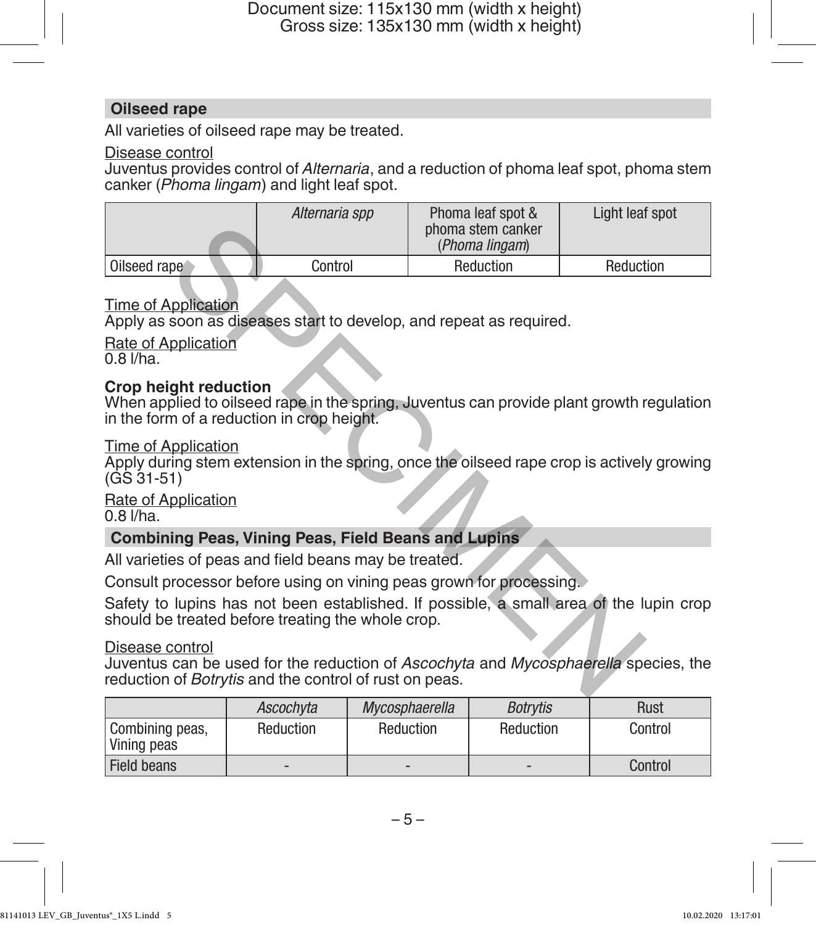#### **Oilseed rape**

All varieties of oilseed rape may be treated.

#### Disease control

Juventus provides control of *Alternaria*, and a reduction of phoma leaf spot, phoma stem canker (*Phoma lingam*) and light leaf spot.

|                                                                                                                                                                         | Alternaria spp | Phoma leaf spot &<br>phoma stem canker<br>(Phoma lingam) | Light leaf spot |  |
|-------------------------------------------------------------------------------------------------------------------------------------------------------------------------|----------------|----------------------------------------------------------|-----------------|--|
| Oilseed rape                                                                                                                                                            | Control        | Reduction                                                | Reduction       |  |
| Time of Application<br>Apply as soon as diseases start to develop, and repeat as required.<br>Rate of Application<br>$0.8$ $I/ha$ .                                     |                |                                                          |                 |  |
| Crop height reduction<br>When applied to oilseed rape in the spring, Juventus can provide plant growth regulation<br>in the form of a reduction in crop height.         |                |                                                          |                 |  |
| Time of Application<br>Apply during stem extension in the spring, once the oilseed rape crop is actively growing<br>$(GS 31-51)$                                        |                |                                                          |                 |  |
| Rate of Application<br>$0.8$ $I/ha$ .                                                                                                                                   |                |                                                          |                 |  |
| <b>Combining Peas, Vining Peas, Field Beans and Lupins</b>                                                                                                              |                |                                                          |                 |  |
| All varieties of peas and field beans may be treated.                                                                                                                   |                |                                                          |                 |  |
| Consult processor before using on vining peas grown for processing.                                                                                                     |                |                                                          |                 |  |
| Safety to lupins has not been established. If possible, a small area of the lupin crop<br>should be treated before treating the whole crop.                             |                |                                                          |                 |  |
| Disease control<br>Juventus can be used for the reduction of Ascochyta and Mycosphaerella species, the<br>reduction of <i>Botrytis</i> and the control of rust on peas. |                |                                                          |                 |  |

#### Time of Application

#### **Crop height reduction**

#### Time of Application

## Rate of Application

## **Combining Peas, Vining Peas, Field Beans and Lupins**

#### Disease control

|                                | Ascochvta                | Mycosphaerella           | <b>Botrvtis</b>          | Rust    |
|--------------------------------|--------------------------|--------------------------|--------------------------|---------|
| Combining peas,<br>Vining peas | Reduction                | Reduction                | Reduction                | Control |
| <b>Field beans</b>             | $\overline{\phantom{0}}$ | $\overline{\phantom{0}}$ | $\overline{\phantom{0}}$ | Control |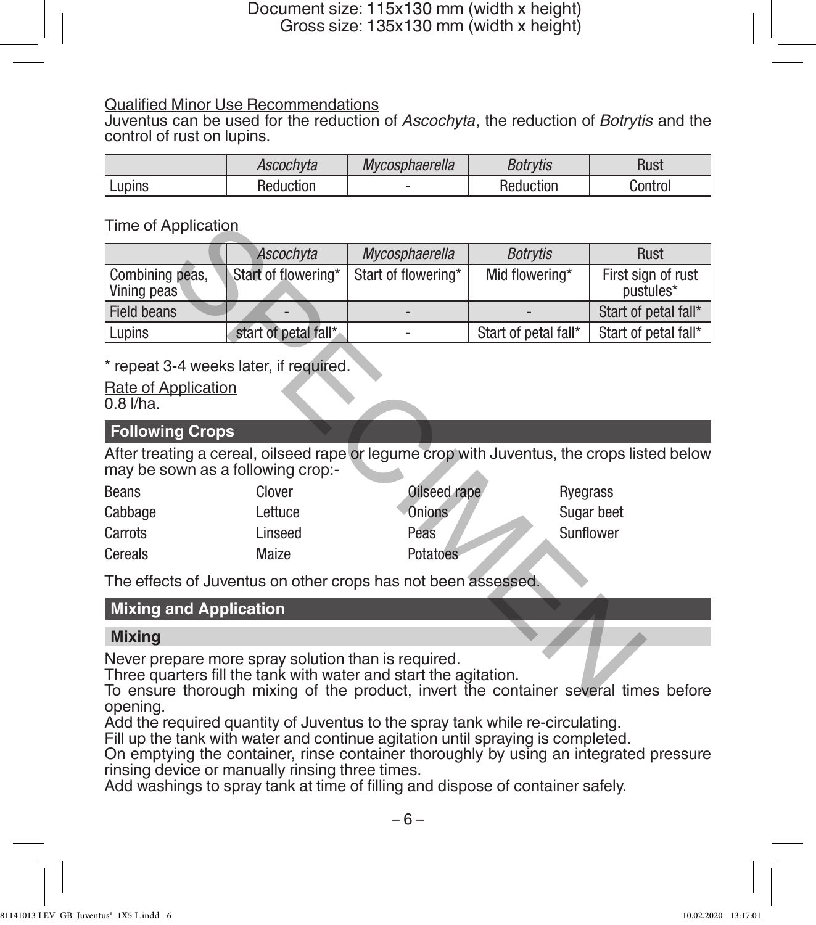#### Qualified Minor Use Recommendations

Juventus can be used for the reduction of *Ascochyta*, the reduction of *Botrytis* and the control of rust on lupins.

|        | Ascochvta         | Mycosphaerella | <b>Botrvtis</b> | Rust    |
|--------|-------------------|----------------|-----------------|---------|
| Lupins | duction<br>kealir |                | Reduction       | Control |

### Time of Application

| <u>Time of Application</u>                                                                                                                                                                                     |                                                               |                     |                      |                                 |  |  |
|----------------------------------------------------------------------------------------------------------------------------------------------------------------------------------------------------------------|---------------------------------------------------------------|---------------------|----------------------|---------------------------------|--|--|
|                                                                                                                                                                                                                | Ascochyta                                                     | Mycosphaerella      | Botrytis             | Rust                            |  |  |
| Combining peas,<br>Vining peas                                                                                                                                                                                 | Start of flowering*                                           | Start of flowering* | Mid flowering*       | First sign of rust<br>pustules* |  |  |
| Field beans                                                                                                                                                                                                    |                                                               |                     |                      | Start of petal fall*            |  |  |
| Lupins                                                                                                                                                                                                         | start of petal fall*                                          |                     | Start of petal fall* | Start of petal fall*            |  |  |
| $0.8$ $I/ha$ .                                                                                                                                                                                                 | * repeat 3-4 weeks later, if required.<br>Rate of Application |                     |                      |                                 |  |  |
| <b>Following Crops</b>                                                                                                                                                                                         |                                                               |                     |                      |                                 |  |  |
| After treating a cereal, oilseed rape or legume crop with Juventus, the crops listed below<br>may be sown as a following crop:-                                                                                |                                                               |                     |                      |                                 |  |  |
| <b>Beans</b>                                                                                                                                                                                                   | Clover                                                        | Oilseed rape        | Ryegrass             |                                 |  |  |
| Cabbage                                                                                                                                                                                                        | Lettuce                                                       | Onions              |                      | Sugar beet                      |  |  |
| Carrots                                                                                                                                                                                                        | Linseed                                                       | Peas                |                      | Sunflower                       |  |  |
| Cereals                                                                                                                                                                                                        | Maize                                                         | Potatoes            |                      |                                 |  |  |
| The effects of Juventus on other crops has not been assessed.                                                                                                                                                  |                                                               |                     |                      |                                 |  |  |
| <b>Mixing and Application</b>                                                                                                                                                                                  |                                                               |                     |                      |                                 |  |  |
| <b>Mixing</b>                                                                                                                                                                                                  |                                                               |                     |                      |                                 |  |  |
| Never prepare more spray solution than is required.<br>Three quarters fill the tank with water and start the agitation.<br>To ensure thorough mixing of the product, invert the container several times before |                                                               |                     |                      |                                 |  |  |

## \* repeat 3-4 weeks later, if required.

#### **Following Crops**

| Beans   | Clover  | Oilseed rape | Ryegrass   |
|---------|---------|--------------|------------|
| Cabbage | Lettuce | Onions       | Sugar beet |
| Carrots | Linseed | Peas         | Sunflower  |
| Cereals | Maize   | Potatoes     |            |

## **Mixing and Application**

#### **Mixing**

To ensure thorough mixing of the product, invert the container several times before opening.

Add the required quantity of Juventus to the spray tank while re-circulating.

Fill up the tank with water and continue agitation until spraying is completed.

On emptying the container, rinse container thoroughly by using an integrated pressure rinsing device or manually rinsing three times.

Add washings to spray tank at time of filling and dispose of container safely.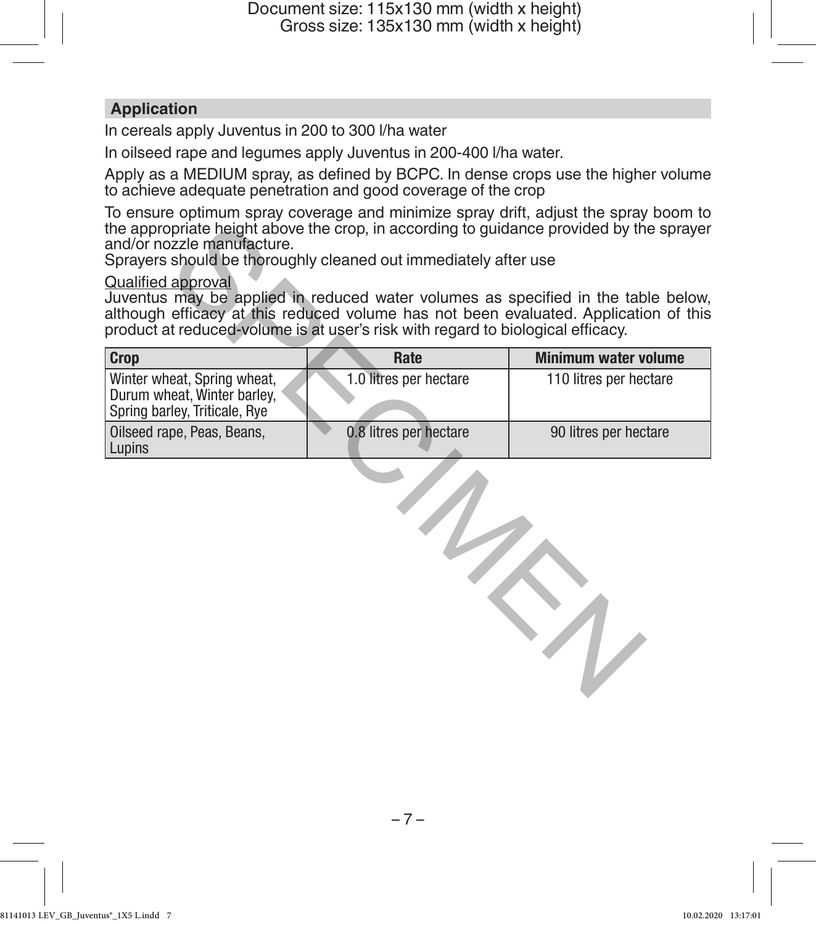#### **Application**

In cereals apply Juventus in 200 to 300 l/ha water

In oilseed rape and legumes apply Juventus in 200-400 l/ha water.

Apply as a MEDIUM spray, as defined by BCPC. In dense crops use the higher volume to achieve adequate penetration and good coverage of the crop

To ensure optimum spray coverage and minimize spray drift, adjust the spray boom to the appropriate height above the crop, in according to guidance provided by the sprayer and/or nozzle manufacture.

#### Qualified approval

| the appropriate height above the crop, in according to guidance provided by the sprayer<br>and/or nozzle manufacture.<br>Sprayers should be thoroughly cleaned out immediately after use                                                                                                  |                        |                             |
|-------------------------------------------------------------------------------------------------------------------------------------------------------------------------------------------------------------------------------------------------------------------------------------------|------------------------|-----------------------------|
| <b>Qualified approval</b><br>Juventus may be applied in reduced water volumes as specified in the table below,<br>although efficacy at this reduced volume has not been evaluated. Application of this<br>product at reduced-volume is at user's risk with regard to biological efficacy. |                        |                             |
| <b>Crop</b>                                                                                                                                                                                                                                                                               | Rate                   | <b>Minimum water volume</b> |
| Winter wheat, Spring wheat,<br>Durum wheat, Winter barley,<br>Spring barley, Triticale, Rye                                                                                                                                                                                               | 1.0 litres per hectare | 110 litres per hectare      |
| Oilseed rape, Peas, Beans,<br>Lupins                                                                                                                                                                                                                                                      | 0.8 litres per hectare | 90 litres per hectare       |
|                                                                                                                                                                                                                                                                                           |                        |                             |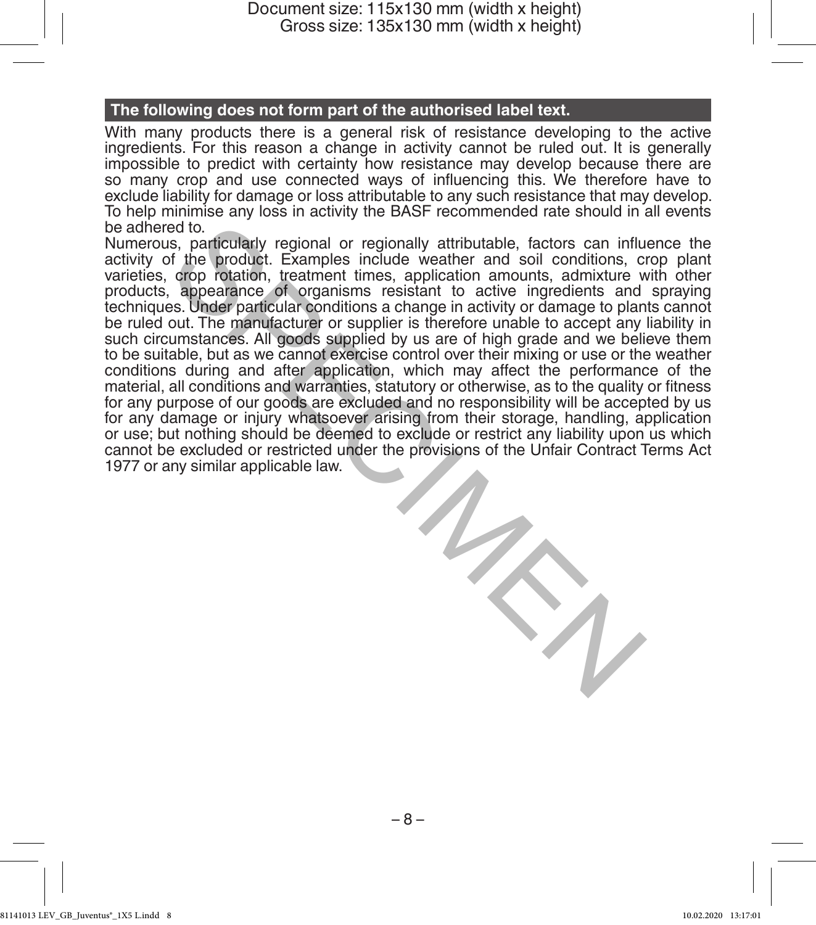#### **The following does not form part of the authorised label text.**

With many products there is a general risk of resistance developing to the active ingredients. For this reason a change in activity cannot be ruled out. It is generally impossible to predict with certainty how resistance may develop because there are so many crop and use connected ways of influencing this. We therefore have to exclude liability for damage or loss attributable to any such resistance that may develop. To help minimise any loss in activity the BASF recommended rate should in all events be adhered to.

Numerous, particularly regional or regionally attributable, factors can influence the activity of the product. Examples include weather and soil conditions, crop plant varieties, crop rotation, treatment times, application amounts, admixture with other products, appearance of organisms resistant to active ingredients and spraying techniques. Under particular conditions a change in activity or damage to plants cannot be ruled out. The manufacturer or supplier is therefore unable to accept any liability in such circumstances. All goods supplied by us are of high grade and we believe them to be suitable, but as we cannot exercise control over their mixing or use or the weather conditions during and after application, which may affect the performance of the material, all conditions and warranties, statutory or otherwise, as to the quality or fitness for any purpose of our goods are excluded and no responsibility will be accepted by us for any damage or injury whatsoever arising from their storage, handling, application or use; but nothing should be deemed to exclude or restrict any liability upon us which cannot be excluded or restricted under the provisions of the Unfair Contract Terms Act 1977 or any similar applicable law. ed to.<br>
Institutional or regionally attributable, factors can influe for the product. Examples include weather and soil conditions, circle of the product. Examples include weather and soil conditions, circle production and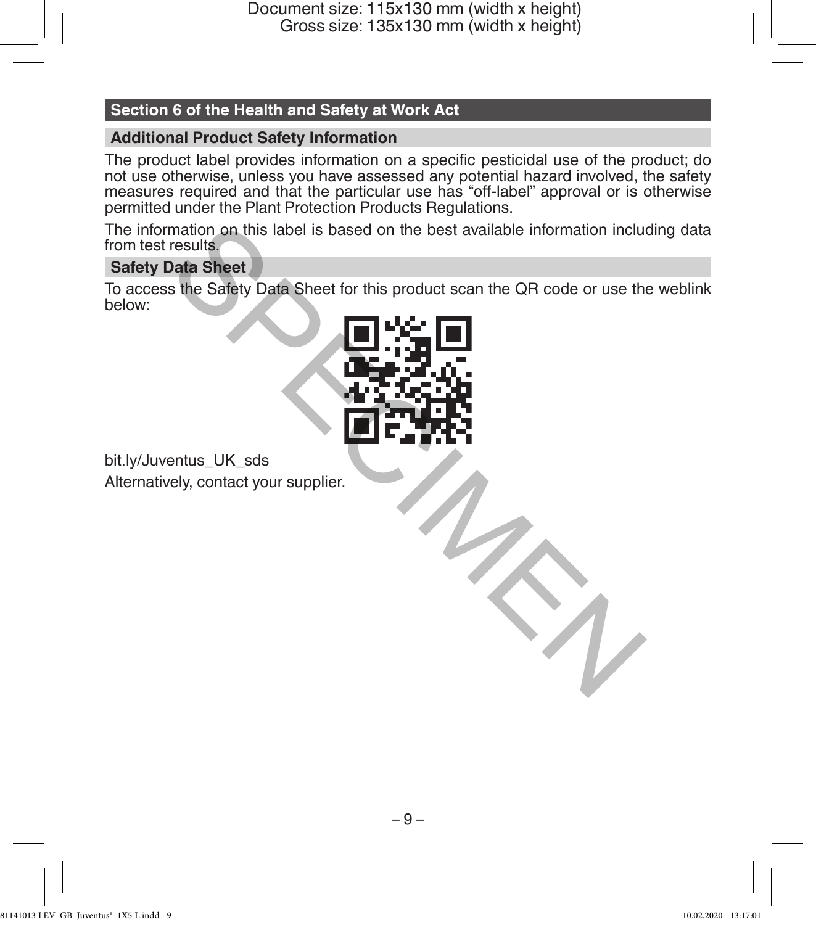## **Section 6 of the Health and Safety at Work Act**

#### **Additional Product Safety Information**

The product label provides information on a specific pesticidal use of the product; do not use otherwise, unless you have assessed any potential hazard involved, the safety measures required and that the particular use has "off-label" approval or is otherwise permitted under the Plant Protection Products Regulations.

The information on this label is based on the best available information including data from test results.

### **Safety Data Sheet**

To access the Safety Data Sheet for this product scan the QR code or use the weblink below:



bit.ly/Juventus\_UK\_sds Alternatively, contact your supplier.